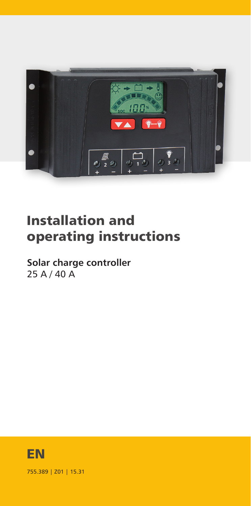

# Installation and operating instructions

**Solar charge controller** 25 A / 40 A



755.389 | Z01 | 15.31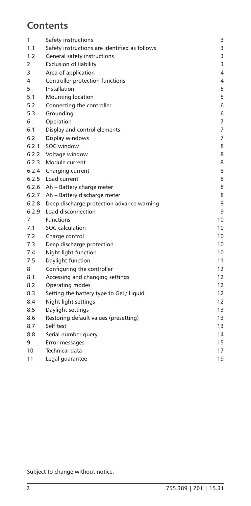# **Contents**

| 1     | Safety instructions                           | 3  |
|-------|-----------------------------------------------|----|
| 1.1   | Safety instructions are identified as follows | 3  |
| 1.2   | General safety instructions                   | 3  |
| 2     | <b>Exclusion of liability</b>                 | 3  |
| 3     | Area of application                           | 4  |
| 4     | Controller protection functions               | 4  |
| 5     | Installation                                  | 5  |
| 5.1   | Mounting location                             | 5  |
| 5.2   | Connecting the controller                     | 6  |
| 5.3   | Grounding                                     | 6  |
| 6     | Operation                                     | 7  |
| 6.1   | Display and control elements                  | 7  |
| 6.2   | Display windows                               | 7  |
| 6.2.1 | SOC window                                    | 8  |
|       | 6.2.2 Voltage window                          | 8  |
| 6.2.3 | Module current                                | 8  |
|       | 6.2.4 Charging current                        | 8  |
|       | 6.2.5 Load current                            | 8  |
|       | 6.2.6 Ah - Battery charge meter               | 8  |
|       | 6.2.7 Ah - Battery discharge meter            | 8  |
| 6.2.8 | Deep discharge protection advance warning     | 9  |
| 6.2.9 | Load disconnection                            | 9  |
| 7     | Functions                                     | 10 |
| 7.1   | SOC calculation                               | 10 |
| 7.2   | Charge control                                | 10 |
| 7.3   | Deep discharge protection                     | 10 |
| 7.4   | Night light function                          | 10 |
| 7.5   | Daylight function                             | 11 |
| 8     | Configuring the controller                    | 12 |
| 8.1   | Accessing and changing settings               | 12 |
| 8.2   | Operating modes                               | 12 |
| 8.3   | Setting the battery type to Gel / Liquid      | 12 |
| 8.4   | Night light settings                          | 12 |
| 8.5   | Daylight settings                             | 13 |
| 8.6   | Restoring default values (presetting)         | 13 |
| 8.7   | Self test                                     | 13 |
| 8.8   | Serial number query                           | 14 |
| 9     | Error messages                                | 15 |
| 10    | <b>Technical data</b>                         | 17 |
| 11    | Legal quarantee                               | 19 |
|       |                                               |    |

Subject to change without notice.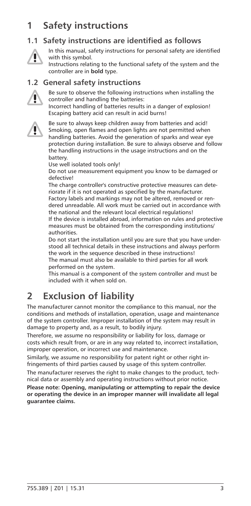# **1 Safety instructions**

### **1.1 Safety instructions are identified as follows**



In this manual, safety instructions for personal safety are identified with this symbol.

Instructions relating to the functional safety of the system and the controller are in **bold** type.

#### **1.2 General safety instructions**



Be sure to observe the following instructions when installing the controller and handling the batteries: Incorrect handling of batteries results in a danger of explosion! Escaping battery acid can result in acid burns!



Be sure to always keep children away from batteries and acid! Smoking, open flames and open lights are not permitted when handling batteries. Avoid the generation of sparks and wear eye protection during installation. Be sure to always observe and follow the handling instructions in the usage instructions and on the battery.

Use well isolated tools only!

Do not use measurement equipment you know to be damaged or defective!

The charge controller's constructive protective measures can deteriorate if it is not operated as specified by the manufacturer. Factory labels and markings may not be altered, removed or rendered unreadable. All work must be carried out in accordance with the national and the relevant local electrical regulations! If the device is installed abroad, information on rules and protective measures must be obtained from the corresponding institutions/ authorities.

Do not start the installation until you are sure that you have understood all technical details in these instructions and always perform the work in the sequence described in these instructions! The manual must also be available to third parties for all work

performed on the system.

This manual is a component of the system controller and must be included with it when sold on.

# **2 Exclusion of liability**

The manufacturer cannot monitor the compliance to this manual, nor the conditions and methods of installation, operation, usage and maintenance of the system controller. Improper installation of the system may result in damage to property and, as a result, to bodily injury.

Therefore, we assume no responsibility or liability for loss, damage or costs which result from, or are in any way related to, incorrect installation, improper operation, or incorrect use and maintenance.

Similarly, we assume no responsibility for patent right or other right infringements of third parties caused by usage of this system controller.

The manufacturer reserves the right to make changes to the product, technical data or assembly and operating instructions without prior notice.

**Please note: Opening, manipulating or attempting to repair the device or operating the device in an improper manner will invalidate all legal guarantee claims.**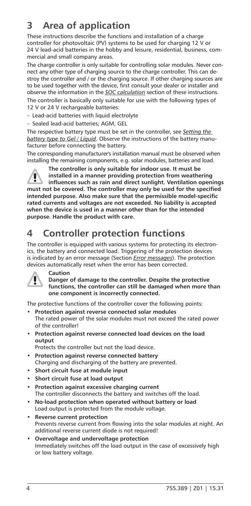# **3 Area of application**

These instructions describe the functions and installation of a charge controller for photovoltaic (PV) systems to be used for charging 12 V or 24 V lead-acid batteries in the hobby and leisure, residential, business, commercial and small company areas.

The charge controller is only suitable for controlling solar modules. Never connect any other type of charging source to the charge controller. This can destroy the controller and / or the charging source. If other charging sources are to be used together with the device, first consult your dealer or installer and observe the information in the *SOC calculation* section of these instructions. The controller is basically only suitable for use with the following types of 12 V or 24 V rechargeable batteries:

– Lead-acid batteries with liquid electrolyte

– Sealed lead-acid batteries; AGM, GEL

The respective battery type must be set in the controller, see *Setting the battery type to Gel / Liquid*. Observe the instructions of the battery manufacturer before connecting the battery.

The corresponding manufacturer's installation manual must be observed when installing the remaining components, e.g. solar modules, batteries and load.



**The controller is only suitable for indoor use. It must be installed in a manner providing protection from weathering influences such as rain and direct sunlight. Ventilation openings must not be covered. The controller may only be used for the specified intended purpose. Also make sure that the permissible model-specific rated currents and voltages are not exceeded. No liability is accepted when the device is used in a manner other than for the intended purpose. Handle the product with care.**

# **4 Controller protection functions**

The controller is equipped with various systems for protecting its electronics, the battery and connected load. Triggering of the protection devices is indicated by an error message (Section *Error messages*). The protection devices automatically reset when the error has been corrected.



**Caution**

**Danger of damage to the controller. Despite the protective functions, the controller can still be damaged when more than one component is incorrectly connected.**

The protective functions of the controller cover the following points:

- **Protection against reverse connected solar modules** The rated power of the solar modules must not exceed the rated power of the controller!
- **Protection against reverse connected load devices on the load output**

Protects the controller but not the load device.

- **Protection against reverse connected battery**
- Charging and discharging of the battery are prevented.
- **Short circuit fuse at module input**
- **Short circuit fuse at load output**
- **Protection against excessive charging current** The controller disconnects the battery and switches off the load.
- **No-load protection when operated without battery or load** Load output is protected from the module voltage.
- **Reverse current protection** Prevents reverse current from flowing into the solar modules at night. An additional reverse current diode is not required!
- **Overvoltage and undervoltage protection** Immediately switches off the load output in the case of excessively high or low battery voltage.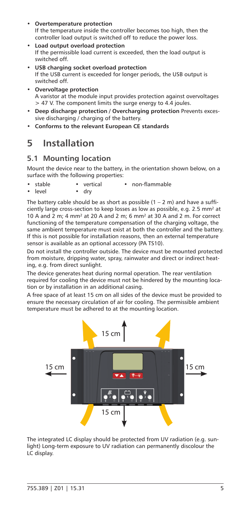- **Overtemperature protection** If the temperature inside the controller becomes too high, then the controller load output is switched off to reduce the power loss.
- **Load output overload protection** If the permissible load current is exceeded, then the load output is switched off.
- **USB charging socket overload protection** If the USB current is exceeded for longer periods, the USB output is switched off.
- **Overvoltage protection** A varistor at the module input provides protection against overvoltages > 47 V. The component limits the surge energy to 4.4 joules.
- **Deep discharge protection / Overcharging protection** Prevents excessive discharging / charging of the battery.
- **Conforms to the relevant European CE standards**

# **5 Installation**

### **5.1 Mounting location**

Mount the device near to the battery, in the orientation shown below, on a surface with the following properties:

- stable vertical non-flammable
- level dry

The battery cable should be as short as possible  $(1 - 2 \text{ m})$  and have a sufficiently large cross-section to keep losses as low as possible, e.g. 2.5 mm² at 10 A and 2 m; 4 mm² at 20 A and 2 m; 6 mm² at 30 A and 2 m. For correct functioning of the temperature compensation of the charging voltage, the same ambient temperature must exist at both the controller and the battery. If this is not possible for installation reasons, then an external temperature sensor is available as an optional accessory (PA TS10).

Do not install the controller outside. The device must be mounted protected from moisture, dripping water, spray, rainwater and direct or indirect heating, e.g. from direct sunlight.

The device generates heat during normal operation. The rear ventilation required for cooling the device must not be hindered by the mounting location or by installation in an additional casing.

A free space of at least 15 cm on all sides of the device must be provided to ensure the necessary circulation of air for cooling. The permissible ambient temperature must be adhered to at the mounting location.



The integrated LC display should be protected from UV radiation (e.g. sunlight) Long-term exposure to UV radiation can permanently discolour the LC display.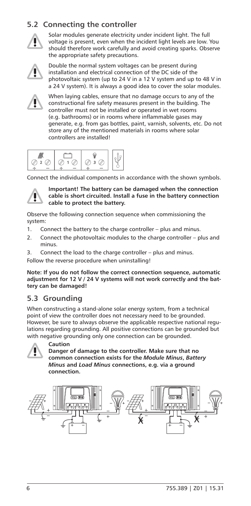### **5.2 Connecting the controller**



Solar modules generate electricity under incident light. The full voltage is present, even when the incident light levels are low. You should therefore work carefully and avoid creating sparks. Observe the appropriate safety precautions.



Double the normal system voltages can be present during installation and electrical connection of the DC side of the photovoltaic system (up to 24 V in a 12 V system and up to 48 V in a 24 V system). It is always a good idea to cover the solar modules.



When laying cables, ensure that no damage occurs to any of the constructional fire safety measures present in the building. The controller must not be installed or operated in wet rooms (e.g. bathrooms) or in rooms where inflammable gases may generate, e.g. from gas bottles, paint, varnish, solvents, etc. Do not store any of the mentioned materials in rooms where solar controllers are installed!



Connect the individual components in accordance with the shown symbols.



**Important! The battery can be damaged when the connection cable is short circuited. Install a fuse in the battery connection cable to protect the battery.**

Observe the following connection sequence when commissioning the system:

- 1. Connect the battery to the charge controller plus and minus.
- 2. Connect the photovoltaic modules to the charge controller plus and minus.
- 3. Connect the load to the charge controller plus and minus.
- Follow the reverse procedure when uninstalling!

**Note: If you do not follow the correct connection sequence, automatic adjustment for 12 V / 24 V systems will not work correctly and the battery can be damaged!**

### **5.3 Grounding**

When constructing a stand-alone solar energy system, from a technical point of view the controller does not necessary need to be grounded. However, be sure to always observe the applicable respective national regulations regarding grounding. All positive connections can be grounded but with negative grounding only one connection can be grounded.



#### **Caution**

**Danger of damage to the controller. Make sure that no common connection exists for the** *Module Minus***,** *Battery Minus* **and** *Load Minus* **connections, e.g. via a ground connection.** 

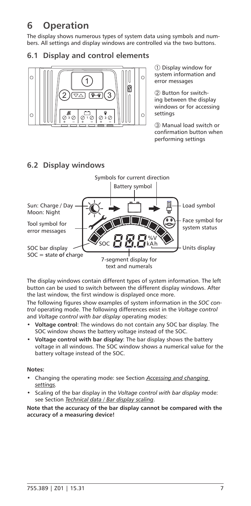# **6 Operation**

The display shows numerous types of system data using symbols and numbers. All settings and display windows are controlled via the two buttons.

#### **6.1 Display and control elements**



**6.2 Display windows**

 Display window for system information and error messages

2 Button for switching between the display windows or for accessing settings

 Manual load switch or confirmation button when performing settings

#### $\frac{1}{2}$ Soc **kata kah**  $\frac{1}{2}$ Kah  $\frac{1}{2}$ Kah Symbols for current direction Battery symbol Load symbol Face symbol for system status Units display Sun: Charge / Day Moon: Night Tool symbol for error messages SOC bar display SOC = **s**tate **o**f **c**harge 7-segment display for text and numerals

The display windows contain different types of system information. The left button can be used to switch between the different display windows. After the last window, the first window is displayed once more.

The following figures show examples of system information in the *SOC control* operating mode. The following differences exist in the *Voltage control* and *Voltage control with bar display* operating modes:

- **Voltage control**: The windows do not contain any SOC bar display. The SOC window shows the battery voltage instead of the SOC.
- **Voltage control with bar display**: The bar display shows the battery voltage in all windows. The SOC window shows a numerical value for the battery voltage instead of the SOC.

**Notes:**

- Changing the operating mode: see Section *Accessing and changing settings.*
- Scaling of the bar display in the *Voltage control with bar display* mode: see Section *Technical data / Bar display scaling*.

**Note that the accuracy of the bar display cannot be compared with the accuracy of a measuring device!**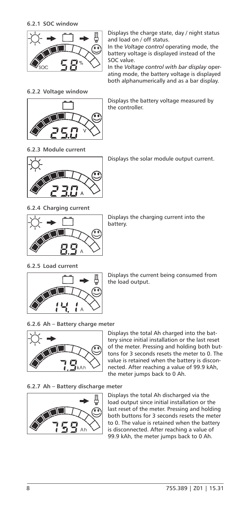**6.2.1 SOC window**



Displays the charge state, day / night status and load on / off status.

In the *Voltage control* operating mode, the battery voltage is displayed instead of the SOC value.

In the *Voltage control with bar display* operating mode, the battery voltage is displayed both alphanumerically and as a bar display.

**6.2.2 Voltage window**



Displays the battery voltage measured by the controller.

**6.2.3 Module current**



Displays the solar module output current.

**6.2.4 Charging current**



Displays the charging current into the battery.

**6.2.5 Load current**



Displays the current being consumed from the load output.

**6.2.6 Ah – Battery charge meter**



Displays the total Ah charged into the battery since initial installation or the last reset of the meter. Pressing and holding both buttons for 3 seconds resets the meter to 0. The value is retained when the battery is disconnected. After reaching a value of 99.9 kAh, the meter jumps back to 0 Ah.

**6.2.7 Ah – Battery discharge meter**



Displays the total Ah discharged via the load output since initial installation or the last reset of the meter. Pressing and holding both buttons for 3 seconds resets the meter to 0. The value is retained when the battery is disconnected. After reaching a value of 99.9 kAh, the meter jumps back to 0 Ah.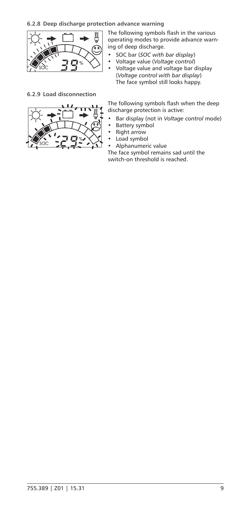

**6.2.9 Load disconnection**



The following symbols flash in the various operating modes to provide advance warning of deep discharge.

- SOC bar (*SOC with bar display*)
- Voltage value (*Voltage control*) • Voltage value and voltage bar display (*Voltage control with bar display*) The face symbol still looks happy.

The following symbols flash when the deep discharge protection is active:

- Bar display (not in *Voltage control* mode)
- Battery symbol<br>• Right arrow
- Right arrow<br>• Load symbo
- Load symbol
- Alphanumeric value

The face symbol remains sad until the switch-on threshold is reached.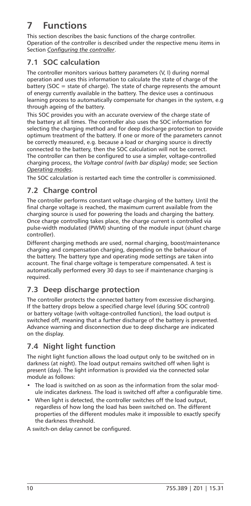# **7 Functions**

This section describes the basic functions of the charge controller. Operation of the controller is described under the respective menu items in Section *Configuring the controller*.

### **7.1 SOC calculation**

The controller monitors various battery parameters (V, I) during normal operation and uses this information to calculate the state of charge of the battery (SOC = state of charge). The state of charge represents the amount of energy currently available in the battery. The device uses a continuous learning process to automatically compensate for changes in the system, e.g through ageing of the battery.

This SOC provides you with an accurate overview of the charge state of the battery at all times. The controller also uses the SOC information for selecting the charging method and for deep discharge protection to provide optimum treatment of the battery. If one or more of the parameters cannot be correctly measured, e.g. because a load or charging source is directly connected to the battery, then the SOC calculation will not be correct. The controller can then be configured to use a simpler, voltage-controlled charging process, the *Voltage control (with bar display)* mode; see Section *Operating modes*.

The SOC calculation is restarted each time the controller is commissioned.

### **7.2 Charge control**

The controller performs constant voltage charging of the battery. Until the final charge voltage is reached, the maximum current available from the charging source is used for powering the loads and charging the battery. Once charge controlling takes place, the charge current is controlled via pulse-width modulated (PWM) shunting of the module input (shunt charge controller).

Different charging methods are used, normal charging, boost/maintenance charging and compensation charging, depending on the behaviour of the battery. The battery type and operating mode settings are taken into account. The final charge voltage is temperature compensated. A test is automatically performed every 30 days to see if maintenance charging is required.

### **7.3 Deep discharge protection**

The controller protects the connected battery from excessive discharging. If the battery drops below a specified charge level (during SOC control) or battery voltage (with voltage-controlled function), the load output is switched off, meaning that a further discharge of the battery is prevented. Advance warning and disconnection due to deep discharge are indicated on the display.

## **7.4 Night light function**

The night light function allows the load output only to be switched on in darkness (at night). The load output remains switched off when light is present (day). The light information is provided via the connected solar module as follows:

- The load is switched on as soon as the information from the solar module indicates darkness. The load is switched off after a configurable time.
- When light is detected, the controller switches off the load output, regardless of how long the load has been switched on. The different properties of the different modules make it impossible to exactly specify the darkness threshold.

A switch-on delay cannot be configured.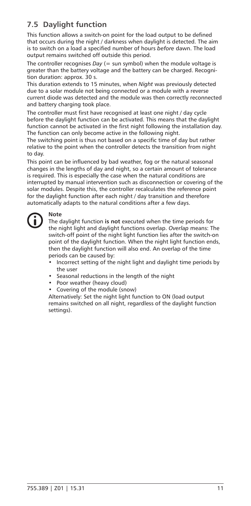### **7.5 Daylight function**

This function allows a switch-on point for the load output to be defined that occurs during the night / darkness when daylight is detected. The aim is to switch on a load a specified number of hours *before* dawn. The load output remains switched off outside this period.

The controller recognises *Day* (= sun symbol) when the module voltage is greater than the battery voltage and the battery can be charged. Recognition duration: approx. 30 s.

This duration extends to 15 minutes, when *Night* was previously detected due to a solar module not being connected or a module with a reverse current diode was detected and the module was then correctly reconnected and battery charging took place.

The controller must first have recognised at least one night / day cycle before the daylight function can be activated. This means that the daylight function cannot be activated in the first night following the installation day. The function can only become active in the following night.

The switching point is thus not based on a specific time of day but rather relative to the point when the controller detects the transition from night to day.

This point can be influenced by bad weather, fog or the natural seasonal changes in the lengths of day and night, so a certain amount of tolerance is required. This is especially the case when the natural conditions are interrupted by manual intervention such as disconnection or covering of the solar modules. Despite this, the controller recalculates the reference point for the daylight function after each night / day transition and therefore automatically adapts to the natural conditions after a few days.



#### **Note**

The daylight function **is not** executed when the time periods for the night light and daylight functions overlap. *Overlap* means: The switch-off point of the night light function lies after the switch-on point of the daylight function. When the night light function ends, then the daylight function will also end. An overlap of the time periods can be caused by:

- Incorrect setting of the night light and daylight time periods by the user
- Seasonal reductions in the length of the night
- Poor weather (heavy cloud)
- Covering of the module (snow)

Alternatively: Set the night light function to ON (load output remains switched on all night, regardless of the daylight function settings).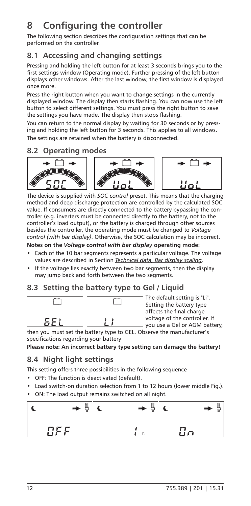# **8 Configuring the controller**

The following section describes the configuration settings that can be performed on the controller.

### **8.1 Accessing and changing settings**

Pressing and holding the left button for at least 3 seconds brings you to the first settings window (Operating mode). Further pressing of the left button displays other windows. After the last window, the first window is displayed once more.

Press the right button when you want to change settings in the currently displayed window. The display then starts flashing. You can now use the left button to select different settings. You must press the right button to save the settings you have made. The display then stops flashing.

You can return to the normal display by waiting for 30 seconds or by pressing and holding the left button for 3 seconds. This applies to all windows.

The settings are retained when the battery is disconnected.

### **8.2 Operating modes**



The device is supplied with *SOC control* preset. This means that the charging method and deep discharge protection are controlled by the calculated SOC value. If consumers are directly connected to the battery bypassing the controller (e.g. inverters must be connected directly to the battery, not to the controller's load output), or the battery is charged through other sources besides the controller, the operating mode must be changed to *Voltage control (with bar display)*. Otherwise, the SOC calculation may be incorrect. **Notes on the** *Voltage control with bar display* **operating mode:**

- Each of the 10 bar segments represents a particular voltage. The voltage values are described in Section *Technical data, Bar display scaling*.
- If the voltage lies exactly between two bar segments, then the display may jump back and forth between the two segments.

### **8.3 Setting the battery type to Gel / Liquid**



The default setting is "Li". Setting the battery type affects the final charge voltage of the controller. If you use a Gel or AGM battery,

then you must set the battery type to GEL. Observe the manufacturer's specifications regarding your battery

**Please note: An incorrect battery type setting can damage the battery!**

### **8.4 Night light settings**

This setting offers three possibilities in the following sequence

- OFF: The function is deactivated (default).
- Load switch-on duration selection from 1 to 12 hours (lower middle Fig.).
- ON: The load output remains switched on all night.

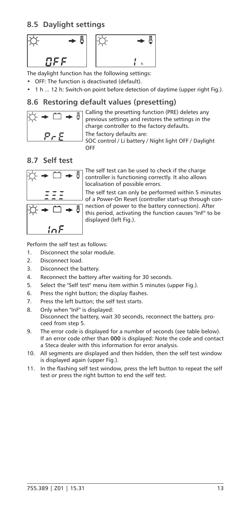### **8.5 Daylight settings**



The daylight function has the following settings:

• OFF: The function is deactivated (default).

• 1 h ... 12 h: Switch-on point before detection of daytime (upper right Fig.).

#### **8.6 Restoring default values (presetting)**



Calling the presetting function (PRE) deletes any previous settings and restores the settings in the charge controller to the factory defaults. The factory defaults are: SOC control / Li battery / Night light OFF / Daylight OFF

### **8.7 Self test**



The self test can be used to check if the charge controller is functioning correctly. It also allows localisation of possible errors.

The self test can only be performed within 5 minutes of a Power-On Reset (controller start-up through connection of power to the battery connection). After this period, activating the function causes "InF" to be displayed (left Fig.).

Perform the self test as follows:

- 1. Disconnect the solar module.
- 2. Disconnect load.
- 3. Disconnect the battery.
- 4. Reconnect the battery after waiting for 30 seconds.
- 5. Select the "Self test" menu item within 5 minutes (upper Fig.).
- 6. Press the right button; the display flashes.
- 7. Press the left button; the self test starts.
- 8. Only when "InF" is displayed: Disconnect the battery, wait 30 seconds, reconnect the battery, proceed from step 5.
- 9. The error code is displayed for a number of seconds (see table below). If an error code other than **000** is displayed: Note the code and contact a Steca dealer with this information for error analysis.
- 10. All segments are displayed and then hidden, then the self test window is displayed again (upper Fig.).
- 11. In the flashing self test window, press the left button to repeat the self test *or* press the right button to end the self test.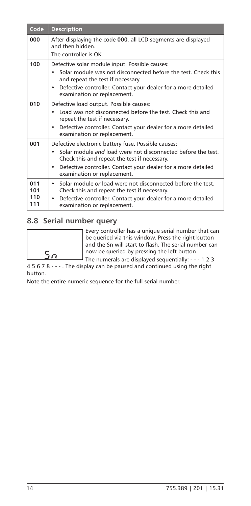| Code                     | <b>Description</b>                                                                                                                                                                                                                                                       |
|--------------------------|--------------------------------------------------------------------------------------------------------------------------------------------------------------------------------------------------------------------------------------------------------------------------|
| 000                      | After displaying the code 000, all LCD segments are displayed<br>and then hidden.<br>The controller is OK.                                                                                                                                                               |
| 100                      | Defective solar module input. Possible causes:<br>Solar module was not disconnected before the test. Check this<br>and repeat the test if necessary.<br>Defective controller. Contact your dealer for a more detailed<br>٠<br>examination or replacement.                |
| 010                      | Defective load output. Possible causes:<br>Load was not disconnected before the test. Check this and<br>repeat the test if necessary.<br>Defective controller. Contact your dealer for a more detailed<br>٠<br>examination or replacement.                               |
| 001                      | Defective electronic battery fuse. Possible causes:<br>Solar module and load were not disconnected before the test.<br>Check this and repeat the test if necessary.<br>Defective controller. Contact your dealer for a more detailed<br>٠<br>examination or replacement. |
| 011<br>101<br>110<br>111 | Solar module or load were not disconnected before the test.<br>٠<br>Check this and repeat the test if necessary.<br>Defective controller. Contact your dealer for a more detailed<br>$\bullet$<br>examination or replacement.                                            |

### **8.8 Serial number query**

Every controller has a unique serial number that can be queried via this window. Press the right button and the Sn will start to flash. The serial number can now be queried by pressing the left button.

The numerals are displayed sequentially: - - - 1 2 3 4 5 6 7 8 - - - . The display can be paused and continued using the right button.

Note the entire numeric sequence for the full serial number.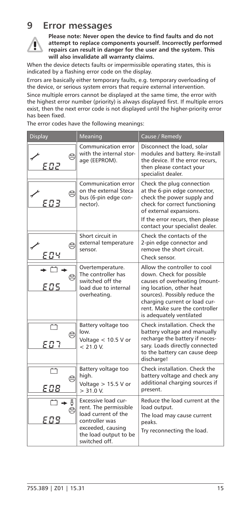# **9 Error messages**



**Please note: Never open the device to find faults and do not attempt to replace components yourself. Incorrectly performed repairs can result in danger for the user and the system. This will also invalidate all warranty claims.**

When the device detects faults or impermissible operating states, this is indicated by a flashing error code on the display.

Errors are basically either temporary faults, e.g. temporary overloading of the device, or serious system errors that require external intervention.

Since multiple errors cannot be displayed at the same time, the error with the highest error number (priority) is always displayed first. If multiple errors exist, then the next error code is not displayed until the higher-priority error has been fixed.

The error codes have the following meanings:

| <b>Display</b>    | Meaning                                                                                                                                              | Cause / Remedy                                                                                                                                                                                                                                        |
|-------------------|------------------------------------------------------------------------------------------------------------------------------------------------------|-------------------------------------------------------------------------------------------------------------------------------------------------------------------------------------------------------------------------------------------------------|
| G<br>E 02         | Communication error<br>with the internal stor-<br>age (EEPROM).                                                                                      | Disconnect the load, solar<br>modules and battery. Re-install<br>the device. If the error recurs,<br>then please contact your<br>specialist dealer.                                                                                                   |
| C<br>Е 0 3        | Communication error<br>on the external Steca<br>bus (6-pin edge con-<br>nector).                                                                     | Check the plug connection<br>at the 6-pin edge connector,<br>check the power supply and<br>check for correct functioning<br>of external expansions.<br>If the error recurs, then please<br>contact your specialist dealer.                            |
| œ<br><u>E 0.4</u> | Short circuit in<br>external temperature<br>sensor.                                                                                                  | Check the contacts of the<br>2-pin edge connector and<br>remove the short circuit.<br>Check sensor.                                                                                                                                                   |
| Q                 | Overtemperature.<br>The controller has<br>switched off the<br>load due to internal<br>overheating.                                                   | Allow the controller to cool<br>down. Check for possible<br>causes of overheating (mount-<br>ing location, other heat<br>sources). Possibly reduce the<br>charging current or load cur-<br>rent. Make sure the controller<br>is adequately ventilated |
| A<br>E N J        | Battery voltage too<br>low.<br>Voltage $<$ 10.5 V or<br>< 21.0 V                                                                                     | Check installation. Check the<br>battery voltage and manually<br>recharge the battery if neces-<br>sary. Loads directly connected<br>to the battery can cause deep<br>discharge!                                                                      |
| Q<br>E 08         | Battery voltage too<br>high.<br>Voltage $> 15.5$ V or<br>> 31.0 V                                                                                    | Check installation. Check the<br>battery voltage and check any<br>additional charging sources if<br>present.                                                                                                                                          |
| ₽<br>Ė<br>E 0 9   | Excessive load cur-<br>rent. The permissible<br>load current of the<br>controller was<br>exceeded, causing<br>the load output to be<br>switched off. | Reduce the load current at the<br>load output.<br>The load may cause current<br>peaks.<br>Try reconnecting the load.                                                                                                                                  |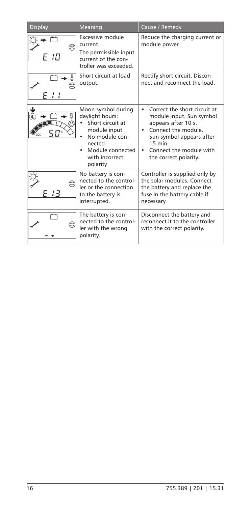| <b>Display</b> | Meaning                                                                                                                                                 | Cause / Remedy                                                                                                                                                                                      |
|----------------|---------------------------------------------------------------------------------------------------------------------------------------------------------|-----------------------------------------------------------------------------------------------------------------------------------------------------------------------------------------------------|
| B<br>10        | Excessive module<br>current.<br>The permissible input<br>current of the con-<br>troller was exceeded.                                                   | Reduce the charging current or<br>module power.                                                                                                                                                     |
| ම              | Short circuit at load<br>output.                                                                                                                        | Rectify short circuit. Discon-<br>nect and reconnect the load.                                                                                                                                      |
| д<br>รภะ       | Moon symbol during<br>daylight hours:<br>Short circuit at<br>module input<br>No module con-<br>nected<br>Module connected<br>with incorrect<br>polarity | Correct the short circuit at<br>module input. Sun symbol<br>appears after 10 s.<br>Connect the module.<br>Sun symbol appears after<br>$15$ min.<br>Connect the module with<br>the correct polarity. |
| 13             | No battery is con-<br>nected to the control-<br>ler or the connection<br>to the battery is<br>interrupted.                                              | Controller is supplied only by<br>the solar modules. Connect<br>the battery and replace the<br>fuse in the battery cable if<br>necessary.                                                           |
| A              | The battery is con-<br>nected to the control-<br>ler with the wrong<br>polarity.                                                                        | Disconnect the battery and<br>reconnect it to the controller<br>with the correct polarity.                                                                                                          |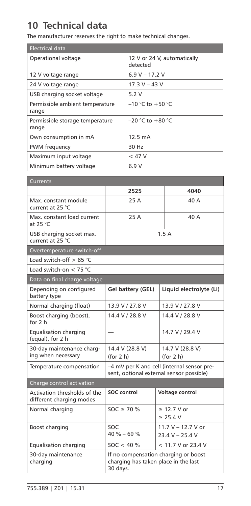# **10 Technical data**

The manufacturer reserves the right to make technical changes.

| Electrical data                          |                                         |
|------------------------------------------|-----------------------------------------|
| Operational voltage                      | 12 V or 24 V, automatically<br>detected |
| 12 V voltage range                       | $6.9 V - 17.2 V$                        |
| 24 V voltage range                       | $17.3 V - 43 V$                         |
| USB charging socket voltage              | 5.2V                                    |
| Permissible ambient temperature<br>range | $-10$ °C to $+50$ °C                    |
| Permissible storage temperature<br>range | $-20$ °C to $+80$ °C                    |
| Own consumption in mA                    | $12.5 \text{ mA}$                       |
| PWM frequency                            | 30 Hz                                   |
| Maximum input voltage                    | $<$ 47 V                                |
| Minimum battery voltage                  | 6.9 V                                   |

| <b>Currents</b>                                          |                                                                                          |                                         |  |
|----------------------------------------------------------|------------------------------------------------------------------------------------------|-----------------------------------------|--|
|                                                          | 2525                                                                                     | 4040                                    |  |
| Max. constant module<br>current at 25 °C                 | 25 A                                                                                     | 40 A                                    |  |
| Max. constant load current<br>at 25 °C                   | 25 A                                                                                     | 40 A                                    |  |
| USB charging socket max.<br>current at 25 °C             |                                                                                          | 15A                                     |  |
| Overtemperature switch-off                               |                                                                                          |                                         |  |
| Load switch-off $> 85$ °C                                |                                                                                          |                                         |  |
| Load switch-on $<$ 75 °C                                 |                                                                                          |                                         |  |
| Data on final charge voltage                             |                                                                                          |                                         |  |
| Depending on configured<br>battery type                  | Gel battery (GEL)                                                                        | Liquid electrolyte (Li)                 |  |
| Normal charging (float)                                  | 13.9 V / 27.8 V                                                                          | 13.9 V / 27.8 V                         |  |
| Boost charging (boost),<br>for 2 h                       | 14.4 V / 28.8 V                                                                          | 14.4 V / 28.8 V                         |  |
| <b>Equalisation charging</b><br>(equal), for 2 h         |                                                                                          | 14.7 V / 29.4 V                         |  |
| 30-day maintenance charg-<br>ing when necessary          | 14.4 V (28.8 V)<br>(for 2 h)                                                             | 14.7 V (28.8 V)<br>(for 2 h)            |  |
| Temperature compensation                                 | -4 mV per K and cell (internal sensor pre-<br>sent, optional external sensor possible)   |                                         |  |
| Charge control activation                                |                                                                                          |                                         |  |
| Activation thresholds of the<br>different charging modes | SOC control                                                                              | Voltage control                         |  |
| Normal charging                                          | $SOC \ge 70 \%$                                                                          | $\geq 12.7$ V or<br>> 25.4 V            |  |
| Boost charging                                           | SOC<br>$40 \% - 69 \%$                                                                   | 11.7 V - 12.7 V or<br>$23.4 V - 25.4 V$ |  |
| <b>Equalisation charging</b>                             | $SOC < 40 \%$                                                                            | $< 11.7$ V or 23.4 V                    |  |
| 30-day maintenance<br>charging                           | If no compensation charging or boost<br>charging has taken place in the last<br>30 days. |                                         |  |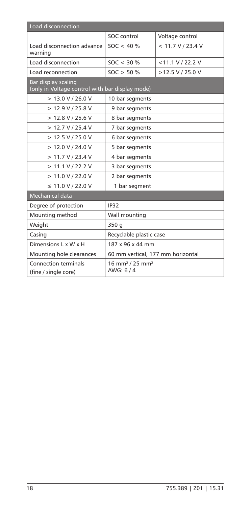| <b>Load disconnection</b>                                              |                                                     |                     |  |
|------------------------------------------------------------------------|-----------------------------------------------------|---------------------|--|
|                                                                        | SOC control                                         | Voltage control     |  |
| Load disconnection advance<br>warning                                  | $SOC < 40 \%$                                       | < 11.7 V/23.4 V     |  |
| Load disconnection                                                     | SOC < 30 %                                          | $<$ 11.1 V / 22.2 V |  |
| Load reconnection                                                      | $SOC > 50 \%$                                       | $>12.5$ V / 25.0 V  |  |
| Bar display scaling<br>(only in Voltage control with bar display mode) |                                                     |                     |  |
| $>$ 13.0 V / 26.0 V                                                    | 10 bar segments                                     |                     |  |
| $>$ 12.9 V / 25.8 V                                                    | 9 bar segments                                      |                     |  |
| $>$ 12.8 V / 25.6 V                                                    | 8 bar segments                                      |                     |  |
| > 12.7 V / 25.4 V                                                      | 7 bar segments                                      |                     |  |
| $>$ 12.5 V / 25.0 V                                                    | 6 bar segments                                      |                     |  |
| $>$ 12.0 V / 24.0 V                                                    | 5 bar segments                                      |                     |  |
| > 11.7 V / 23.4 V                                                      | 4 bar segments                                      |                     |  |
| $>$ 11.1 V / 22.2 V                                                    | 3 bar segments                                      |                     |  |
| > 11.0 V / 22.0 V                                                      | 2 bar segments                                      |                     |  |
| $\leq$ 11.0 V / 22.0 V                                                 | 1 bar segment                                       |                     |  |
| Mechanical data                                                        |                                                     |                     |  |
| Degree of protection                                                   | <b>IP32</b>                                         |                     |  |
| Mounting method                                                        | Wall mounting                                       |                     |  |
| Weight                                                                 | 350 g                                               |                     |  |
| Casing                                                                 | Recyclable plastic case                             |                     |  |
| Dimensions L x W x H                                                   | 187 x 96 x 44 mm                                    |                     |  |
| Mounting hole clearances                                               | 60 mm vertical, 177 mm horizontal                   |                     |  |
| Connection terminals<br>(fine / single core)                           | 16 mm <sup>2</sup> / 25 mm <sup>2</sup><br>AWG: 6/4 |                     |  |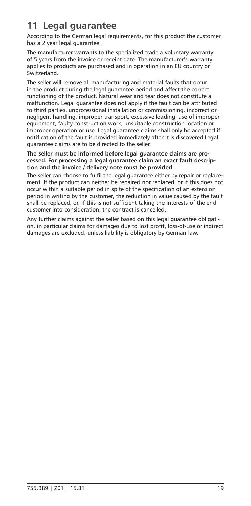# **11 Legal guarantee**

According to the German legal requirements, for this product the customer has a 2 year legal guarantee.

The manufacturer warrants to the specialized trade a voluntary warranty of 5 years from the invoice or receipt date. The manufacturer's warranty applies to products are purchased and in operation in an EU country or Switzerland.

The seller will remove all manufacturing and material faults that occur in the product during the legal guarantee period and affect the correct functioning of the product. Natural wear and tear does not constitute a malfunction. Legal guarantee does not apply if the fault can be attributed to third parties, unprofessional installation or commissioning, incorrect or negligent handling, improper transport, excessive loading, use of improper equipment, faulty construction work, unsuitable construction location or improper operation or use. Legal guarantee claims shall only be accepted if notification of the fault is provided immediately after it is discovered Legal guarantee claims are to be directed to the seller.

**The seller must be informed before legal guarantee claims are processed. For processing a legal guarantee claim an exact fault description and the invoice / delivery note must be provided.** 

The seller can choose to fulfil the legal guarantee either by repair or replacement. If the product can neither be repaired nor replaced, or if this does not occur within a suitable period in spite of the specification of an extension period in writing by the customer, the reduction in value caused by the fault shall be replaced, or, if this is not sufficient taking the interests of the end customer into consideration, the contract is cancelled.

Any further claims against the seller based on this legal guarantee obligation, in particular claims for damages due to lost profit, loss-of-use or indirect damages are excluded, unless liability is obligatory by German law.